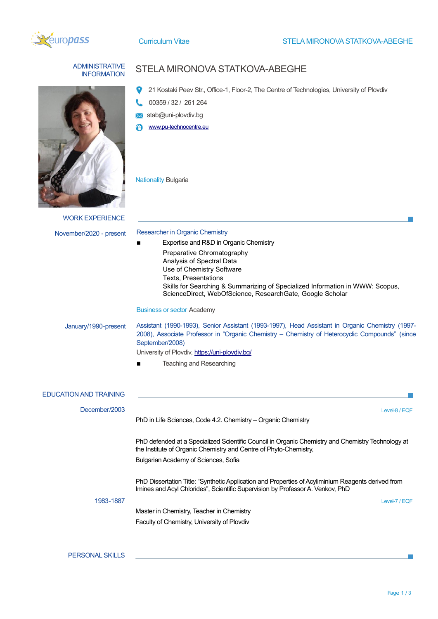

## ADMINISTRATIVE

## **ININISTRATIVE STELA MIRONOVA STATKOVA-ABEGHE**

- 21 Kostaki Peev Str., Office-1, Floor-2, The Centre of Technologies, University of Plovdiv
- 00359 / 32 / 261 264
- stab@uni-plovdiv.bg
- [www.pu-technocentre.eu](http://www.pu-technocentre.eu/)

Nationality Bulgaria

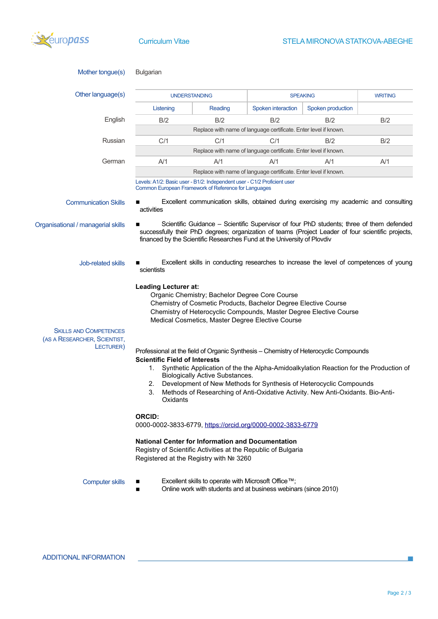

| Mother tongue(s)                                                           | <b>Bulgarian</b>                                                                                                                                                                                                                                                                                                                                                                                                                                                                                                                                                                                                                                                                                             |                                                                  |                                                                  |                                                                  |                |  |
|----------------------------------------------------------------------------|--------------------------------------------------------------------------------------------------------------------------------------------------------------------------------------------------------------------------------------------------------------------------------------------------------------------------------------------------------------------------------------------------------------------------------------------------------------------------------------------------------------------------------------------------------------------------------------------------------------------------------------------------------------------------------------------------------------|------------------------------------------------------------------|------------------------------------------------------------------|------------------------------------------------------------------|----------------|--|
| Other language(s)                                                          |                                                                                                                                                                                                                                                                                                                                                                                                                                                                                                                                                                                                                                                                                                              | <b>UNDERSTANDING</b>                                             |                                                                  | <b>SPEAKING</b>                                                  | <b>WRITING</b> |  |
|                                                                            | Listening                                                                                                                                                                                                                                                                                                                                                                                                                                                                                                                                                                                                                                                                                                    | Reading                                                          | Spoken interaction                                               | Spoken production                                                |                |  |
| English                                                                    | B/2                                                                                                                                                                                                                                                                                                                                                                                                                                                                                                                                                                                                                                                                                                          | B/2                                                              | B/2                                                              | B/2                                                              | B/2            |  |
|                                                                            |                                                                                                                                                                                                                                                                                                                                                                                                                                                                                                                                                                                                                                                                                                              | Replace with name of language certificate. Enter level if known. |                                                                  |                                                                  |                |  |
| Russian                                                                    | C/1                                                                                                                                                                                                                                                                                                                                                                                                                                                                                                                                                                                                                                                                                                          | C/1                                                              | C/1                                                              | B/2                                                              | B/2            |  |
|                                                                            |                                                                                                                                                                                                                                                                                                                                                                                                                                                                                                                                                                                                                                                                                                              |                                                                  | Replace with name of language certificate. Enter level if known. |                                                                  |                |  |
| German                                                                     | A/1                                                                                                                                                                                                                                                                                                                                                                                                                                                                                                                                                                                                                                                                                                          | A/1                                                              | A/1                                                              | A/1                                                              | A/1            |  |
|                                                                            |                                                                                                                                                                                                                                                                                                                                                                                                                                                                                                                                                                                                                                                                                                              |                                                                  |                                                                  | Replace with name of language certificate. Enter level if known. |                |  |
|                                                                            | Levels: A1/2: Basic user - B1/2: Independent user - C1/2 Proficient user<br>Common European Framework of Reference for Languages                                                                                                                                                                                                                                                                                                                                                                                                                                                                                                                                                                             |                                                                  |                                                                  |                                                                  |                |  |
| <b>Communication Skills</b>                                                | Excellent communication skills, obtained during exercising my academic and consulting<br>activities                                                                                                                                                                                                                                                                                                                                                                                                                                                                                                                                                                                                          |                                                                  |                                                                  |                                                                  |                |  |
| Organisational / managerial skills                                         | Scientific Guidance - Scientific Supervisor of four PhD students; three of them defended<br>successfully their PhD degrees; organization of teams (Project Leader of four scientific projects,<br>financed by the Scientific Researches Fund at the University of Plovdiv                                                                                                                                                                                                                                                                                                                                                                                                                                    |                                                                  |                                                                  |                                                                  |                |  |
| Job-related skills                                                         | Excellent skills in conducting researches to increase the level of competences of young<br>scientists<br><b>Leading Lecturer at:</b><br>Organic Chemistry; Bachelor Degree Core Course<br>Chemistry of Cosmetic Products, Bachelor Degree Elective Course<br>Chemistry of Heterocyclic Compounds, Master Degree Elective Course<br>Medical Cosmetics, Master Degree Elective Course                                                                                                                                                                                                                                                                                                                          |                                                                  |                                                                  |                                                                  |                |  |
|                                                                            |                                                                                                                                                                                                                                                                                                                                                                                                                                                                                                                                                                                                                                                                                                              |                                                                  |                                                                  |                                                                  |                |  |
| <b>SKILLS AND COMPETENCES</b><br>(AS A RESEARCHER, SCIENTIST,<br>LECTURER) | Professional at the field of Organic Synthesis - Chemistry of Heterocyclic Compounds<br><b>Scientific Field of Interests</b><br>Synthetic Application of the the Alpha-Amidoalkylation Reaction for the Production of<br>1.<br><b>Biologically Active Substances.</b><br>Development of New Methods for Synthesis of Heterocyclic Compounds<br>2.<br>Methods of Researching of Anti-Oxidative Activity. New Anti-Oxidants. Bio-Anti-<br>3.<br>Oxidants<br><b>ORCID:</b><br>0000-0002-3833-6779, https://orcid.org/0000-0002-3833-6779<br><b>National Center for Information and Documentation</b><br>Registry of Scientific Activities at the Republic of Bulgaria<br>Registered at the Registry with № 3260 |                                                                  |                                                                  |                                                                  |                |  |
|                                                                            |                                                                                                                                                                                                                                                                                                                                                                                                                                                                                                                                                                                                                                                                                                              |                                                                  |                                                                  |                                                                  |                |  |
| <b>Computer skills</b>                                                     | Excellent skills to operate with Microsoft Office™;<br>Online work with students and at business webinars (since 2010)<br>■                                                                                                                                                                                                                                                                                                                                                                                                                                                                                                                                                                                  |                                                                  |                                                                  |                                                                  |                |  |

 $\mathbb{R}^n$